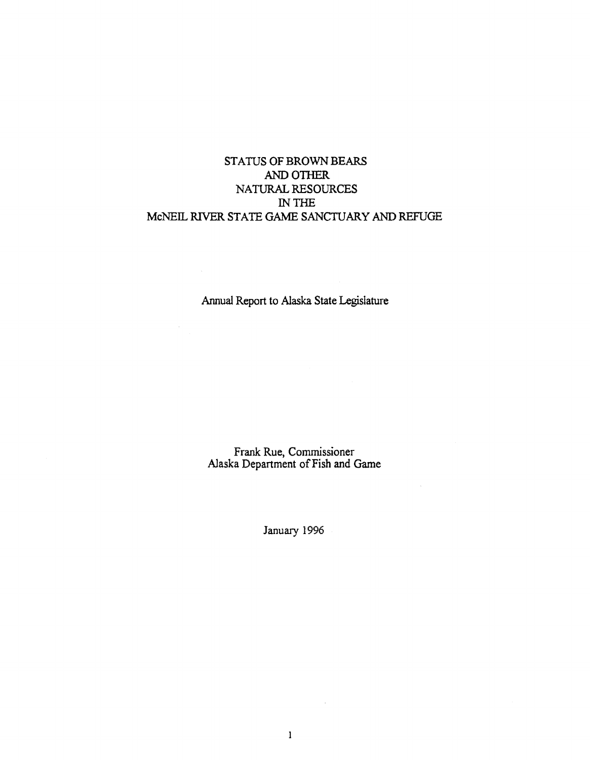# STATUS OF BROWN BEARS ANDOTIIER NATURAL RESOURCES IN THE McNEIL RIVER STATE GAME SANCTUARY AND REFUGE

Annual Report to Alaska State Legislature

Frank Rue, Commissioner Alaska Department ofFish and Game

 $\mathcal{L}$ 

January 1996

 $\mathbf{1}$ 

 $\sim$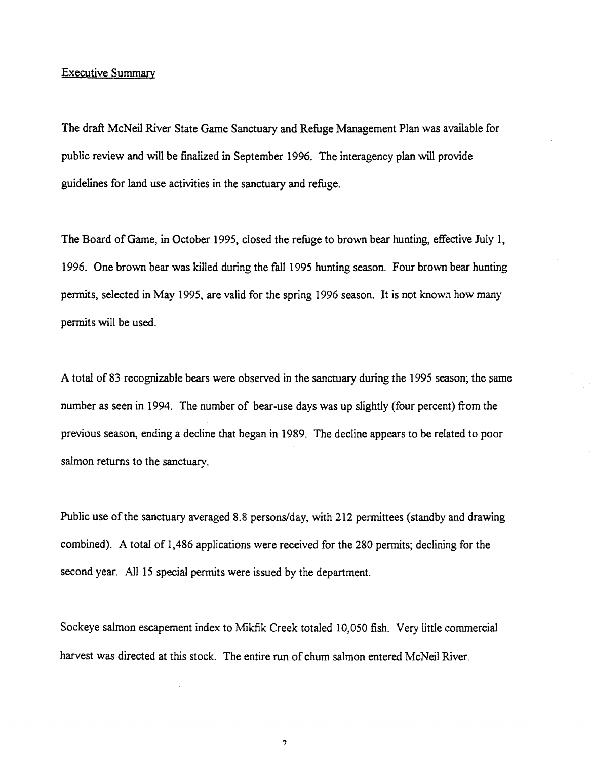# Executive Summary

The draft McNeil River State Game Sanctuary and Refuge Management Plan was available for public review and will be finalized in September I 996. The interagency plan will provide guidelines for land use activities in the sanctuary and refuge.

The Board of Game, in October 1995, closed the refuge to brown bear hunting, effective July 1, 1996. One brown bear was killed during the fall 1995 hunting season. Four brown bear hunting permits, selected in May 1995, are valid for the spring 1996 season. It is not known how many permits will be used.

A total of 83 recognizable bears were observed in the sanctuary during the 1995 season; the same number as seen in 1994. The number of bear-use days was up slightly (four percent) from the previous season, ending a decline that began in 1989. The decline appears to be related to poor salmon returns to the sanctuary.

Public use of the sanctuary averaged 8.8 persons/day, with 212 permittees (standby and drawing combined). A total of 1,486 applications were received for the 280 permits; declining for the second year. All 15 special permits were issued by the department.

Sockeye salmon escapement index to Mikfik Creek totaled 10,050 fish. Very little commercial harvest was directed at this stock. The entire run of chum salmon entered McNeil River.

.,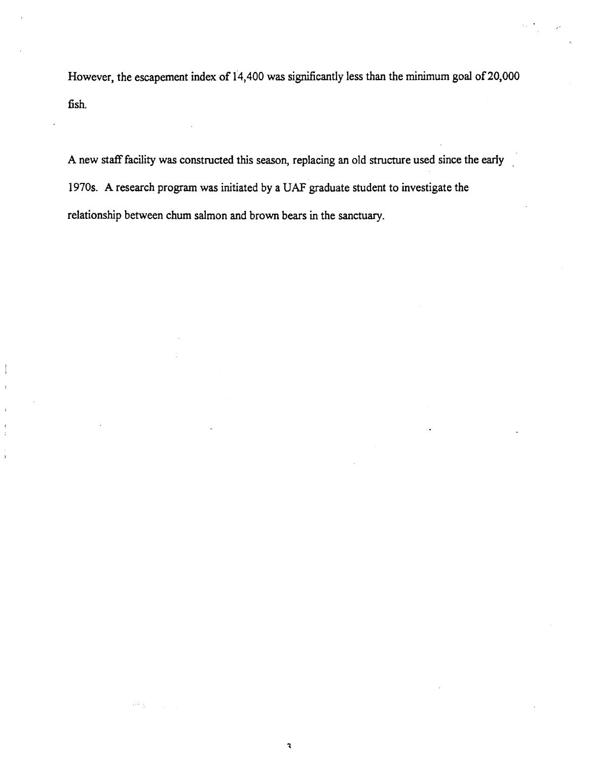However, the escapement index of 14,400 was significantly less than the minimum goal of 20,000 fish.

A new staff facility was constructed this season, replacing an old structure used since the early 1970s. A research program was initiated by a UAF graduate student to investigate the relationship between chum salmon and brown bears in the sanctuary.

 $\mathbf{R}$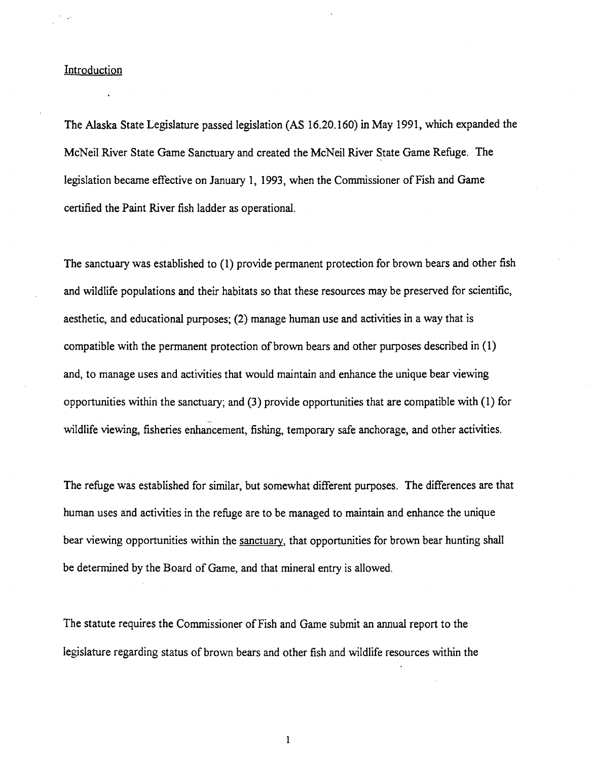# Introduction

The Alaska State Legislature passed legislation (AS 16.20.160) in May 1991, which expanded the McNeil River State Game Sanctuary and created the McNeil River State Game Refuge. The legislation became effective on January 1, 1993, when the Commissioner of Fish and Game certified the Paint River fish ladder as operational.

The sanctuary was established to (1) provide permanent protection for brown bears and other fish and wildlife populations and their habitats so that these resources may be preserved for scientific, aesthetic, and educational purposes; (2) manage human use and activities in a way that is compatible with the permanent protection of brown bears and other purposes described in (I) and, to manage uses and activities that would maintain and enhance the unique bear viewing opportunities within the sanctuary; and (3) provide opportunities that are compatible with ( 1) for wildlife viewing, fisheries enhancement, fishing, temporary safe anchorage, and other activities.

The refuge was established for similar, but somewhat different purposes. The differences are that human uses and activities in the refuge are to be managed to maintain and enhance the unique bear viewing opportunities within the sanctuary, that opportunities for brown bear hunting shall be detennined by the Board of Game, and that mineral entry is allowed.

The statute requires the Commissioner of Fish and Game submit an annual report to the legislature regarding status of brown bears and other fish and wildlife resources within the

 $\mathbf{1}$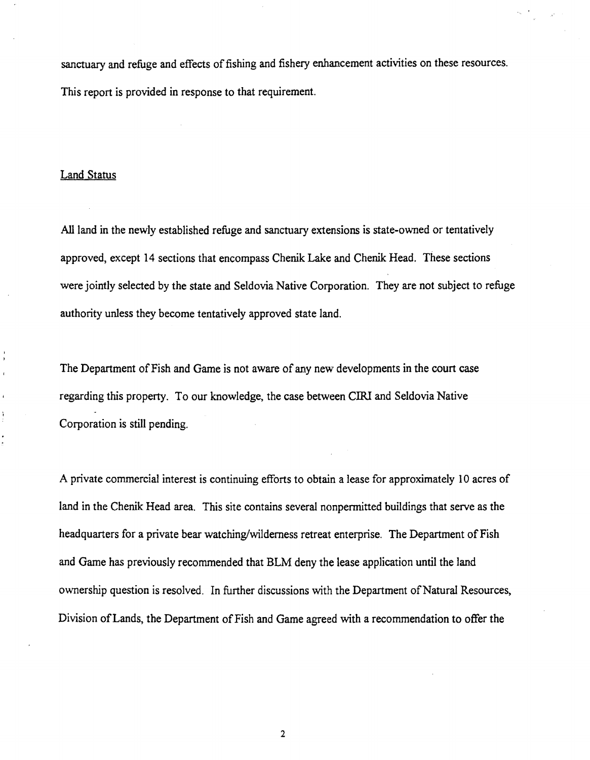sanctuary and refuge and effects of fishing and fishery enhancement activities on these resources. This report is provided in response to that requirement.

# Land Status

All land in the newly established refuge and sanctuary extensions is state-owned or tentatively approved, except 14 sections that encompass Chenik Lake and Chenik Head. These sections were jointly selected by the state and Seldovia Native Corporation. They are not subject to refuge authority unless they become tentatively approved state land.

The Department of Fish and Game is not aware of any new developments in the court case regarding this property. To our knowledge, the case between CIRI and Seldovia Native Corporation is still pending.

A private commercial interest is continuing efforts to obtain a lease for approximately 10 acres of land in the Chenik Head area. This site contains several nonpermitted buildings that serve as the headquarters for a private bear watching/wilderness retreat enterprise. The Department of Fish and Game has previously recommended that BLM deny the lease application until the land ownership question is resolved. In further discussions with the Department of Natural Resources, Division of Lands, the Department of Fish and Game agreed with a recommendation to offer the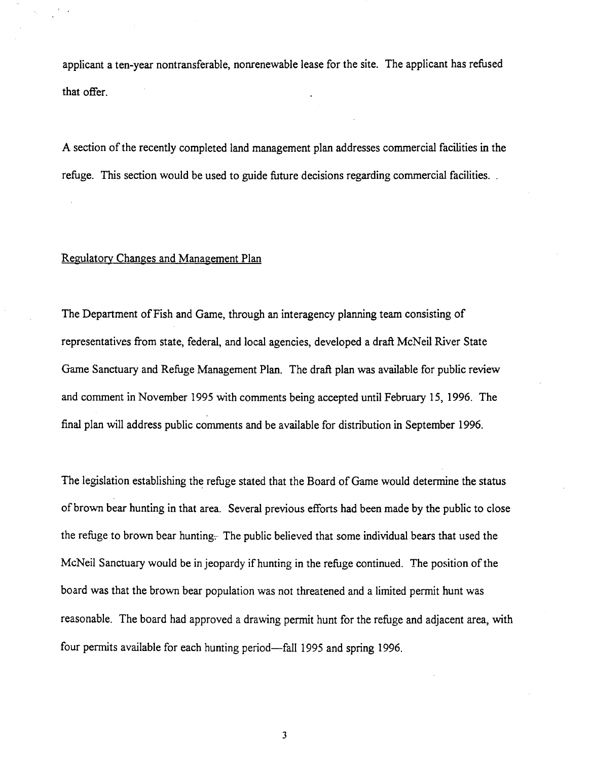applicant a ten-year nontransferable, nonrenewable lease for the site. The applicant has refused that offer.

A section of the recently completed land management plan addresses commercial facilities in the refuge. This section would be used to guide future decisions regarding commercial facilities. .

#### Regulatory Changes and Management Plan

The Department of Fish and Game, through an interagency planning team consisting of representatives from state, federal, and local agencies, developed a draft McNeil River State Game Sanctuary and Refuge Management Plan. The draft plan was available for public review and comment in November 1995 with comments being accepted until February 15, 1996. The final plan will address public comments and be available for distribution in September 1996.

The legislation establishing the refuge stated that the Board of Game would determine the status of brown bear hunting in that area. Several previous efforts had been made by the public to close the refuge to brown bear hunting. The public believed that some individual bears that used the McNeil Sanctuary would be in jeopardy if hunting in the refuge continued. The position of the board was that the brown bear population was not threatened and a limited permit hunt was reasonable. The board had approved a drawing permit hunt for the refuge and adjacent area, with four permits available for each hunting period—fall 1995 and spring 1996.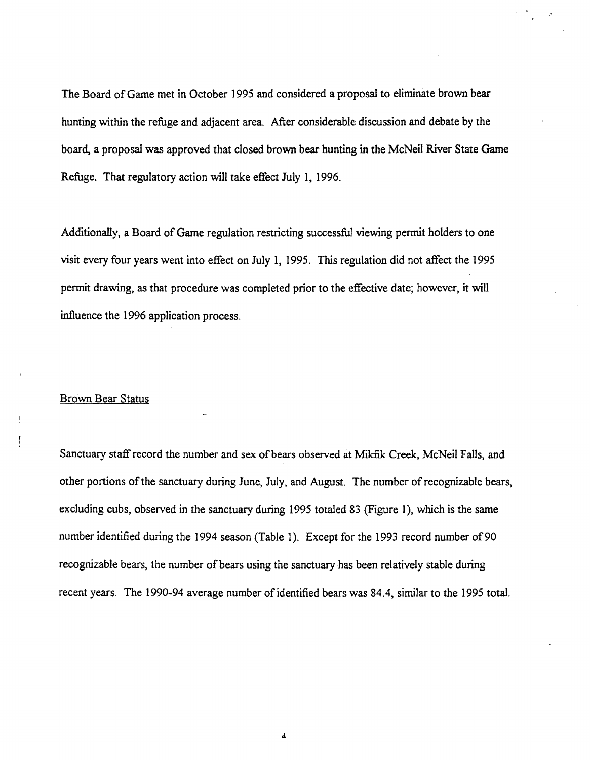The Board of Game met in October 1995 and considered a proposal to eliminate brown bear hunting within the refuge and adjacent area. After considerable discussion and debate by the board, a proposal was approved that closed brown bear hunting in the McNeil River State Game Refuge. That regulatory action will take effect July 1, 1996.

Additionally, a Board of Game regulation restricting successful viewing permit holders to one visit every four years went into effect on July 1, 1995. This regulation did not affect the 1995 permit drawing, as that procedure was completed prior to the effective date; however, it will influence the 1996 application process.

# Brown Bear Status

J

Sanctuary staff record the number and sex of bears observed at Mikfik Creek, McNeil Falls, and other portions of the sanctuary during June, July, and August. The number of recognizable bears, excluding cubs, observed in the sanctuary during 1995 totaled 83 (Figure 1), which is the same number identified during the 1994 season (Table 1). Except for the 1993 record number of 90 recognizable bears, the number of bears using the sanctuary has been relatively stable during recent years. The 1990-94 average number of identified bears was 84.4, similar to the 1995 total.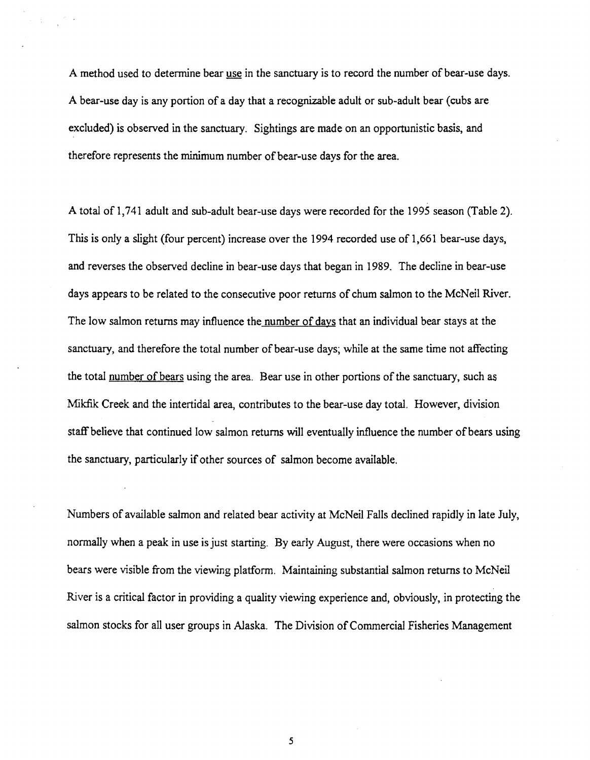A method used to determine bear use in the sanctuary is to record the number of bear-use days. A bear-use day is any portion of a day that a recognizable adult or sub-adult bear (cubs are excluded) is observed in the sanctuary. Sightings are made on an opportunistic basis, and therefore represents the minimum number of bear-use days for the area.

A total of 1,741 adult and sub-adult bear-use days were recorded for the 1995 season (Table 2). This is only a slight (four percent) increase over the 1994 recorded use of 1,661 bear-use days, and reverses the observed decline in bear-use days that began in 1989. The decline in bear-use days appears to be related to the consecutive poor returns of chum salmon to the McNeil River. The low salmon returns may influence the number of days that an individual bear stays at the sanctuary, and therefore the total number of bear-use days; while at the same time not affecting the total number of bears using the area. Bear use in other portions of the sanctuary, such as Mikfik Creek and the intertidal area, contributes to the bear-use day total. However, division staff believe that continued low salmon returns will eventually influence the number of bears using the sanctuary, particularly if other sources of salmon become available.

Numbers of available salmon and related bear activity at McNeil Falls declined rapidly in late July, normally when a peak in use is just starting. By early August, there were occasions when no bears were visible from the viewing platform. Maintaining substantial salmon returns to McNeil River is a critical factor in providing a quality viewing experience and, obviously, in protecting the salmon stocks for all user groups in Alaska. The Division of Commercial Fisheries Management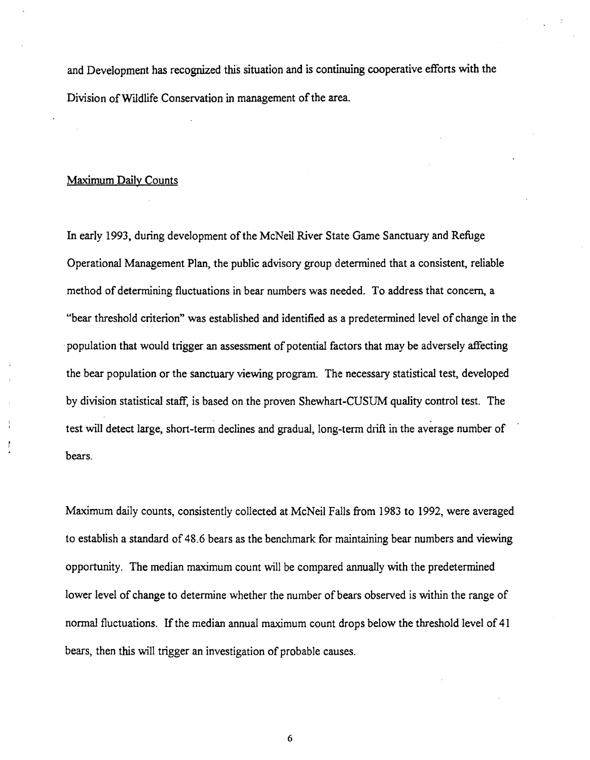and Development has recognized this situation and is continuing cooperative efforts with the Division of Wildlife Conservation in management of the area.

# Maximum Daily Counts

In early 1993, during development of the McNeil River State Game Sanctuary and Refuge Operational Management Plan, the public advisory group determined that a consistent, reliable method of determining fluctuations in bear numbers was needed. To address that concern, a "bear threshold criterion" was established and identified as a predetermined level of change in the population that would trigger an assessment of potential factors that may be adversely affecting the bear population or the sanctuary viewing program. The necessary statistical test, developed by division statistical staff, is based on the proven Shewhart-CUSUM quality control test. The test will detect large, short-term declines and gradual, long-term drift in the average number of bears.

Maximum daily counts, consistently collected at McNeil Falls from 1983 to 1992, were averaged to establish a standard of 48.6 bears as the benchmark for maintaining bear numbers and viewing opportunity. The median maximum count will be compared annually with the predetermined lower level of change to determine whether the number of bears observed is within the range of normal fluctuations. If the median annual maximum count drops below the threshold level of 41 bears, then this will trigger an investigation of probable causes.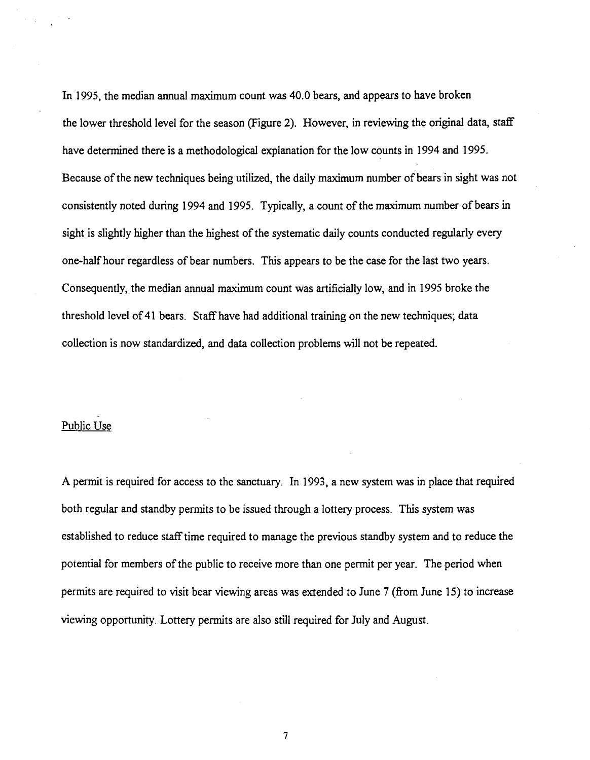In 1995, the median annual maximum count was 40.0 bears, and appears to have broken the lower threshold level for the season (Figure 2). However, in reviewing the original data, staff have determined there is a methodological explanation for the low counts in 1994 and 1995. Because of the new techniques being utilized, the daily maximum number of bears in sight was not consistently noted during 1994 and 1995. Typically, a count of the maximum number of bears in sight is slightly higher than the highest of the systematic daily counts conducted regularly every one-half hour regardless of bear numbers. This appears to be the case for the last two years. Consequently, the median annual maximum count was artificially low, and in 1995 broke the threshold level of41 bears. Staff have had additional training on the new techniques; data collection is now standardized, and data collection problems will not be repeated.

# Public Use

A permit is required for access to the sanctuary. In 1993, a new system was in place that required both regular and standby permits to be issued through a lottery process. This system was established to reduce stafftime required to manage the previous standby system and to reduce the potential for members of the public to receive more than one permit per year. The period when permits are required to visit bear viewing areas was extended to June 7 (from June 15) to increase viewing opportunity. Lottery permits are also still required for July and August.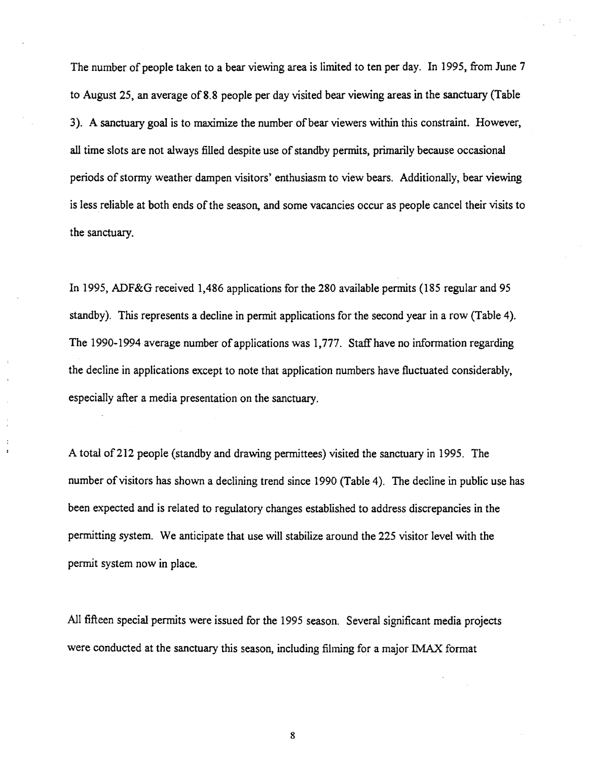The number of people taken to a bear viewing area is limited to ten per day. In 1995, from June 7 to August 25, an average of 8.8 people per day visited bear viewing areas in the sanctuary (Table 3). A sanctuary goal is to maximize the number ofbear viewers within this constraint. However, all time slots are not always filled despite use of standby permits, primarily because occasional periods of stormy weather dampen visitors' enthusiasm to view bears. Additionally, bear viewing is less reliable at both ends of the season, and some vacancies occur as people cancel their visits to the sanctuary.

In 1995, ADF&G received 1,486 applications for the 280 available permits (185 regular and 95 standby). This represents a decline in permit applications for the second year in a row (Table 4). The 1990-1994 average number of applications was 1,777. Staff have no information regarding the decline in applications except to note that application numbers have fluctuated considerably, especially after a media presentation on the sanctuary.

A total of212 people (standby and drawing permittees) visited the sanctuary in 1995. The number of visitors has shown a declining trend since 1990 (Table 4). The decline in public use has been expected and is related to regulatory changes established to address discrepancies in the permitting system. We anticipate that use will stabilize around the 225 visitor level with the permit system now in place.

 $\ddot{z}$ 

All fifteen special permits were issued for the 1995 season. Several significant media projects were conducted at the sanctuary this season, including filming for a major IMAX format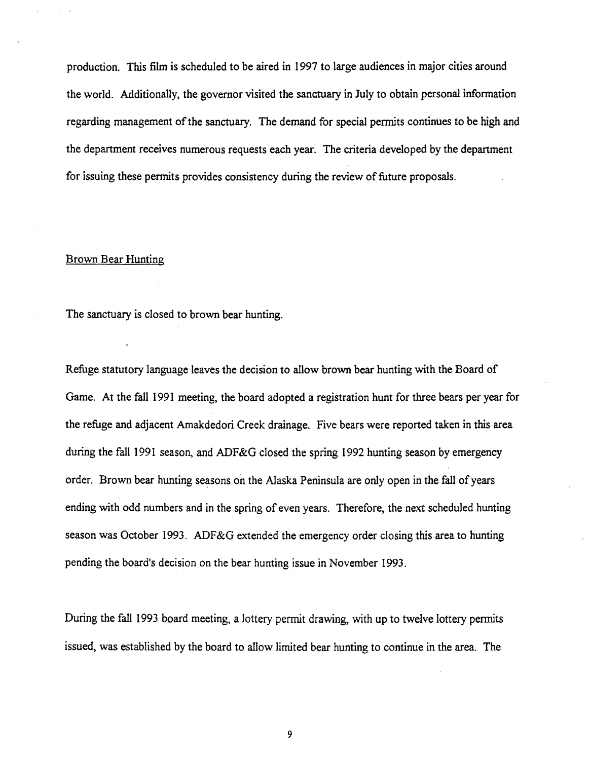production. This film is scheduled to be aired in 1997 to large audiences in major cities around the world. Additionally, the governor visited the sanctuary in July to obtain personal information regarding management of the sanctuary. The demand for special permits continues to be high and the department receives numerous requests each year. The criteria developed by the department for issuing these permits provides consistency during the review of future proposals.

#### Brown Bear Hunting

The sanctuary is closed to brown bear hunting.

Refuge statutory language leaves the decision to allow brown bear hunting with the Board of Game. At the fall 1991 meeting, the board adopted a registration hunt for three bears per year for the refuge and adjacent Amakdedori Creek drainage. Five bears were reported taken in this area during the fall 1991 season, and ADF&G closed the spring 1992 hunting season by emergency erder. Brown bear hunting seasons on the Alaska Peninsula are only open in the fall of years ending with odd numbers and in the spring of even years. Therefore, the next scheduled hunting season was October 1993. ADF&G extended the emergency order closing this area to hunting pending the board's decision on the bear hunting issue in November 1993.

During the fall 1993 board meeting, a lottery permit drawing, with up to twelve lottery pennits issued, was established by the board to allow limited bear hunting to continue in the area. The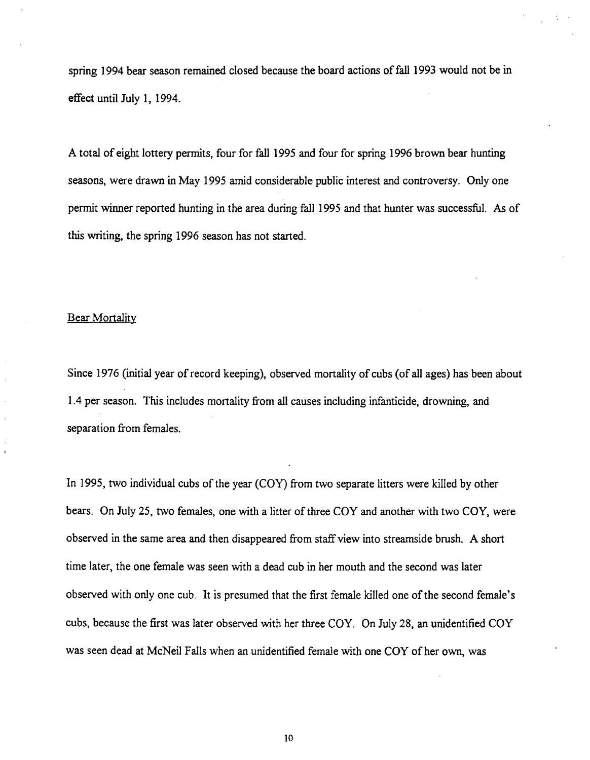spring 1994 bear season remained closed because the board actions of fall 1993 would not be in effect until July 1, 1994.

A total of eight lottery permits, four for fall 1995 and four for spring 1996 brown bear hunting seasons, were drawn in May 1995 amid considerable public interest and controversy. Only one permit winner reported hunting in the area during fall 1995 and that hunter was successful. As of this writing, the spring 1996 season has not started.

#### **Bear Mortality**

Since 1976 (initial year of record keeping), observed mortality of cubs (of all ages) has been about 1.4 per season. This includes mortality from all causes including infanticide, drowning, and separation from females.

In 1995, two individual cubs of the year (COY) from two separate litters were killed by other bears. On July 25, two females, one with a litter of three COY and another with two COY, were observed in the same area and then disappeared from staff view into streamside brush. A short time later, the one female was seen with a dead cub in her mouth and the second was later observed with only one cub. It is presumed that the first female killed one of the second female's cubs, because the first was later observed with her three COY. On July 28, an unidentified COY was seen dead at McNeil Falls when an unidentified female with one COY of her own, was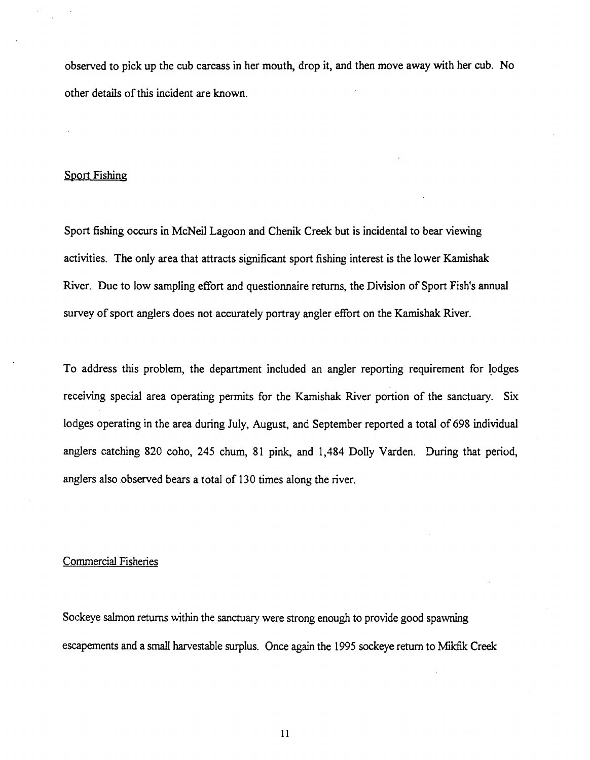observed to pick up the cub carcass in her mouth, drop it, and then move away with her cub. No other details of this incident are known.

#### Sport Fishing

Sport fishing occurs in McNeil Lagoon and Chenik Creek but is incidental to bear viewing activities. The only area that attracts significant sport fishing interest is the lower Kamishak River. Due to low sampling effort and questionnaire returns, the Division of Sport Fish's annual survey of sport anglers does not accurately portray angler effort on the Kamishak River.

To address this problem, the department included an angler reporting requirement for lodges receiving special area operating pennits for the Kamishak River portion of the sanctuary. Six lodges operating in the area during July, August, and September reported a total of 698 individual anglers catching 820 coho, 245 chum, 81 pink, and 1,484 Dolly Varden. During that period, anglers also observed bears a total of 130 times along the river.

#### Commercial Fisheries

Sockeye salmon returns within the sanctuary were strong enough to provide good spawning escapements and a small harvestable surplus. Once again the 1995 sockeye return to Mikfik Creek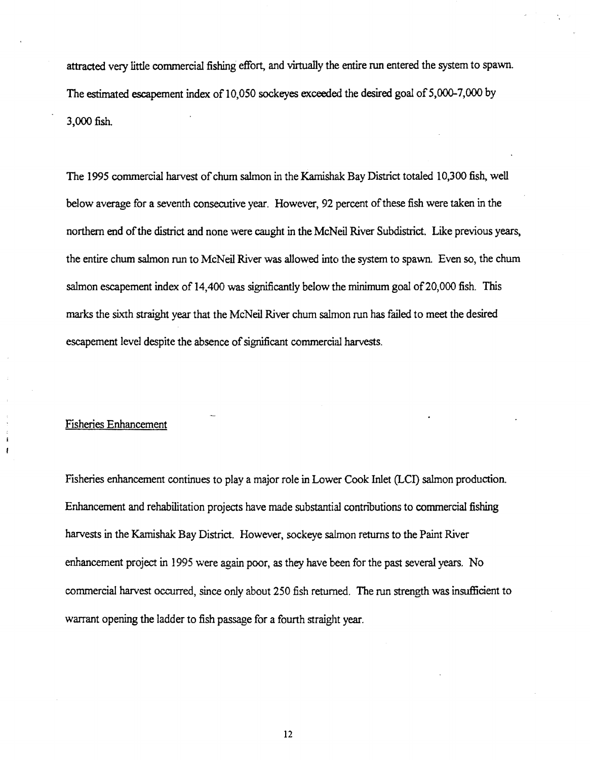attracted very little commercial fishing effort, and virtually the entire run entered the system to spawn. The estimated escapement index of 10,050 sockeyes exceeded the desired goal of 5,000-7,000 by 3,000 fish.

The 1995 commercial harvest of chum salmon in the Kamishak Bay District totaled 10,300 fish, well below average for a seventh consecutive year. However, 92 percent of these fish were taken in the northern end of the district and none were caught in the McNeil River Subdistrict. Like previous years, the entire chum salmon run to McNeil River was allowed into the system to spawn. Even so, the chum salmon escapement index of 14,400 was significantly below the minimum goal of 20,000 fish. This marks the sixth straight year that the McNeil River chum salmon run has failed to meet the desired escapement level despite the absence of significant commercial harvests.

#### Fisheries Enhancement

 $\mathbf{f}$ 

Fisheries enhancement continues to play a major role in Lower Cook Inlet (LCI) salmon production. Enhancement and rehabilitation projects have made substantial contributions to commercial fishing harvests in the Kamishak Bay District. However, sockeye salmon returns to the Paint River enhancement project in 1995 were again poor, as they have been for the past several years. No commercial harvest occurred, since only about 250 fish returned. The run strength was insufficient to warrant opening the ladder to fish passage for a fourth straight year.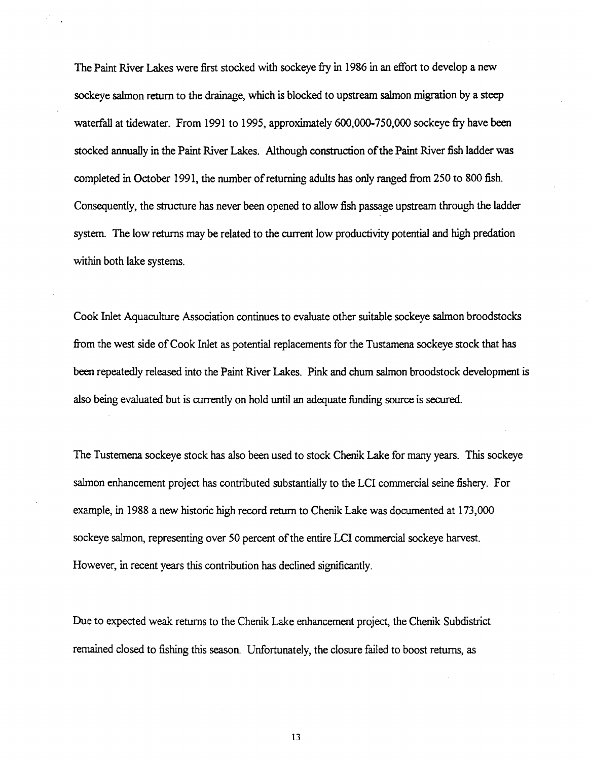The Paint River Lakes were first stocked with sockeye fry in 1986 in an effort to develop a new sockeye salmon return to the drainage, which is blocked to upstream salmon migration by a steep waterfall at tidewater. From 1991 to 1995, approximately 600,000-750,000 sockeye fry have been stocked annually in the Paint River Lakes. Although construction of the Paint River fish ladder was completed in October 1991, the number ofreturning adults has only ranged from 250 to 800 fish. Consequently, the structure has never been opened to allow fish passage upstream through the ladder system. The low returns may be related to the current low productivity potential and high predation within both lake systems.

Cook Inlet Aquaculture Association continues to evaluate other suitable sockeye salmon broodstocks from the west side of Cook Inlet as potential replacements for the Tustamena sockeye stock that has been repeatedly released into the Paint River Lakes. Pink and chum salmon broodstock development is also being evaluated but is currently on hold until an adequate funding source is secured.

The Tustemena sockeye stock has also been used to stock Chenik Lake for many years. This sockeye salmon enhancement project has contributed substantially to the LCI commercial seine fishery. For example, in 1988 a new historic high record return to Chenik Lake was documented at 173,000 sockeye salmon, representing over 50 percent of the entire LCI commercial sockeye harvest. However, in recent years this contribution has declined significantly.

Due to expected weak returns to the Chenik Lake enhancement project, the Chenik Subdistrict remained closed to fishing this season. Unfortunately, the closure failed to boost returns, as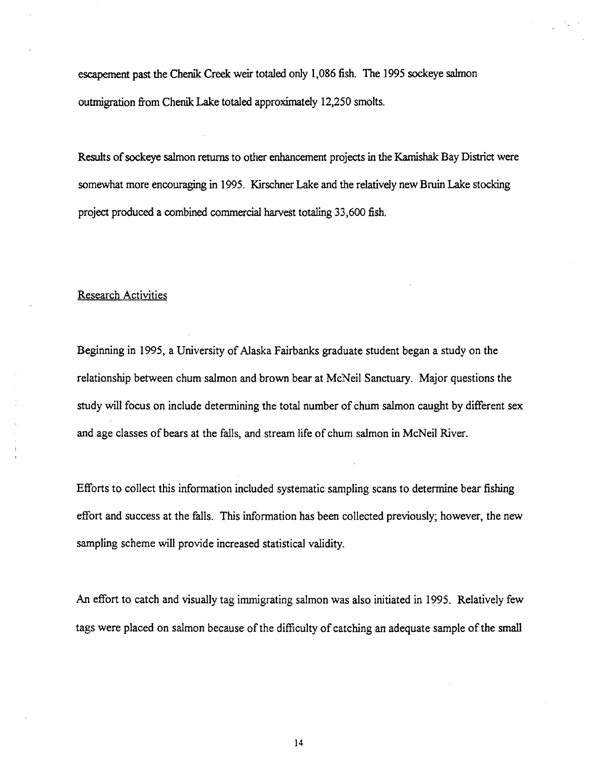escapement past the Chenik Creek weir totaled only 1,086 fish. The 1995 sockeye salmon outmigration from Chenik Lake totaled approximately 12,250 smolts.

Results of sockeye salmon returns to other enhancement projects in the Kamishak Bay District were somewhat more encouraging in 1995. Kirschner Lake and the relatively new Bruin Lake stocking project produced a combined commercial harvest totaling 33,600 fish.

#### Research Activities

Beginning in 1995, a University of Alaska Fairbanks graduate student began a study on the relationship between chum salmon and brown bear at McNeil Sanctuary. Major questions the study will focus on include determining the total number of chum salmon caught by different sex and age classes of bears at the falls, and stream life of chum salmon in McNeil River.

Efforts to collect this information included systematic sampling scans to determine bear fishing effort and success at the falls. This information has been collected previously; however, the new sampling scheme will provide increased statistical validity.

An effort to catch and visually tag immigrating salmon was also initiated in 1995. Relatively few tags were placed on salmon because of the difficulty of catching an adequate sample of the small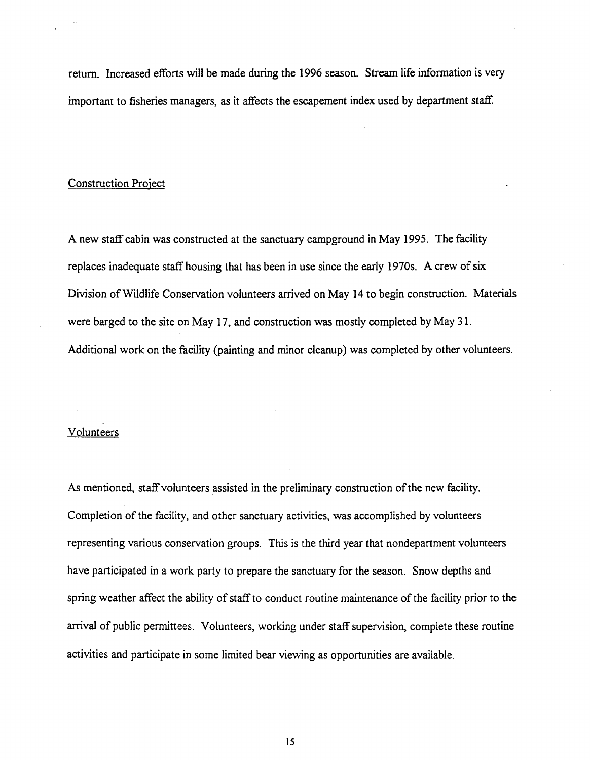return. Increased efforts will be made during the 1996 season. Stream life information is very important to fisheries managers, as it affects the escapement index used by department staff.

#### Construction Project

A new staff cabin was constructed at the sanctuary campground in May 1995. The facility replaces inadequate staff housing that has been in use since the early 1970s. A crew of six Division of Wildlife Conservation volunteers arrived on May 14 to begin construction. Materials were barged to the site on May 17, and construction was mostly completed by May 31. Additional work on the facility (painting and minor cleanup) was completed by other volunteers.

#### Volunteers

As mentioned, staff volunteers assisted in the preliminary construction of the new facility. Completion of the facility, and other sanctuary activities, was accomplished by volunteers representing various conservation groups. This is the third year that nondepartment volunteers have participated in a work party to prepare the sanctuary for the season. Snow depths and spring weather affect the ability of staff to conduct routine maintenance of the facility prior to the arrival of public permittees. Volunteers, working under staff supervision, complete these routine activities and participate in some limited bear viewing as opportunities are available.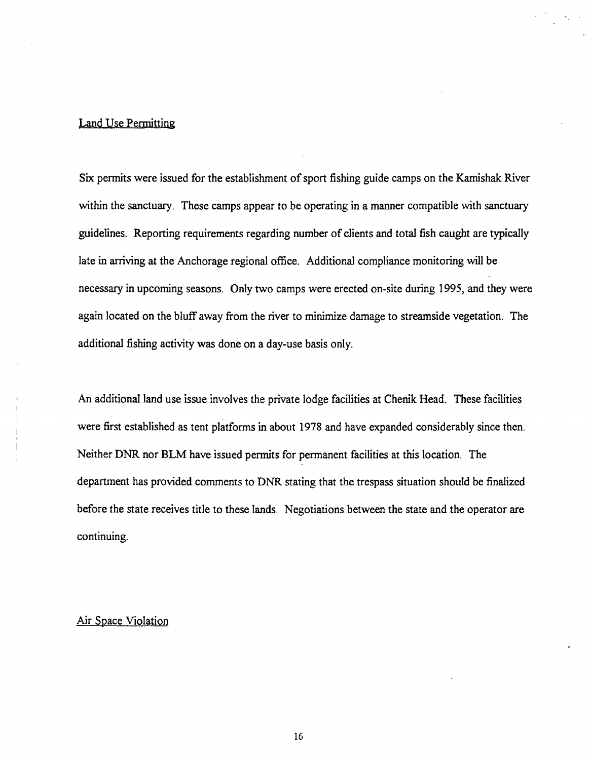# Land Use Permitting

Six permits were issued for the establishment of sport fishing guide camps on the Kamishak River within the sanctuary. These camps appear to be operating in a manner compatible with sanctuary guidelines. Reporting requirements regarding number of clients and total fish caught are typically late in arriving at the Anchorage regional office. Additional compliance monitoring will be necessary in upcoming seasons. Only two camps were erected on-site during 1995, and they were again located on the bluff away from the river to minimize damage to streamside vegetation. The additional fishing activity was done on a day-use basis only.

An additional land use issue involves the private lodge facilities at Chenik Head. These facilities were first established as tent platforms in about 1978 and have expanded considerably since then. Neither DNR nor BLM have issued permits for permanent facilities at this location. The department has provided comments to DNR stating that the trespass situation should be finalized before the state receives title to these lands. Negotiations between the state and the operator are continuing.

# Air Space Violation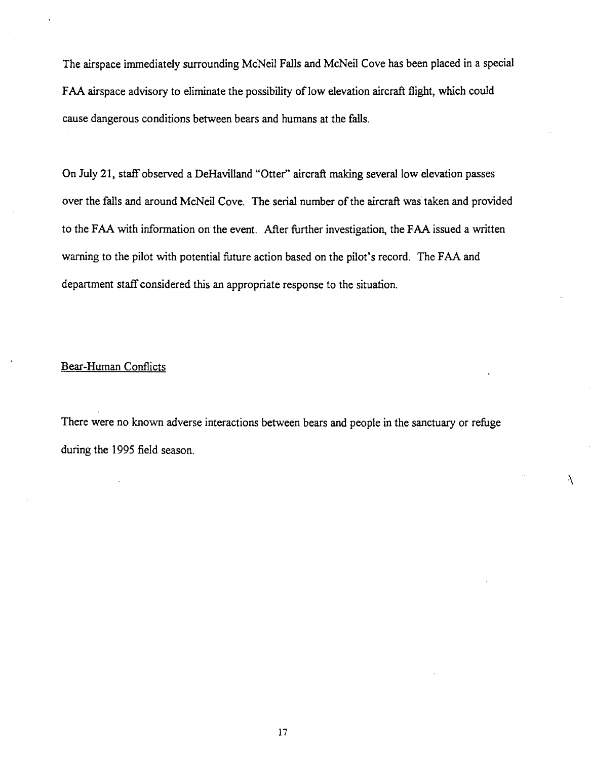The airspace immediately surrounding McNeil Falls and McNeil Cove has been placed in a special FAA airspace advisory to eliminate the possibility of low elevation aircraft flight, which could cause dangerous conditions between bears and humans at the falls.

On July 21, staff observed a DeHavilland "Otter'' aircraft making several low elevation passes over the falls and around McNeil Cove. The serial number of the aircraft was taken and provided to the FAA with information on the event. After further investigation, the FAA issued a written warning to the pilot with potential future action based on the pilot's record. The FAA and department staff considered this an appropriate response to the situation.

# Bear-Human Conflicts

There were no known adverse interactions between bears and people in the sanctuary or refuge during the 1995 field season.

À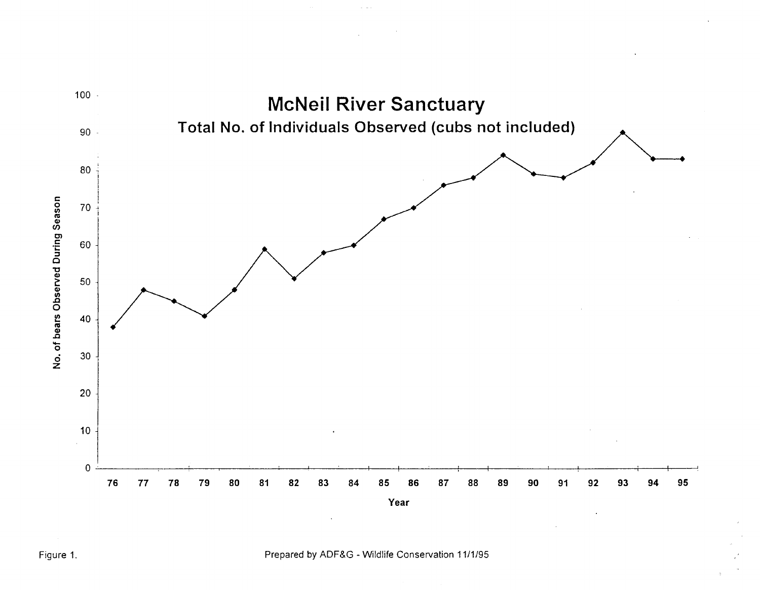

Figure 1. Prepared by ADF&G- Wildlife Conservation 11/1/95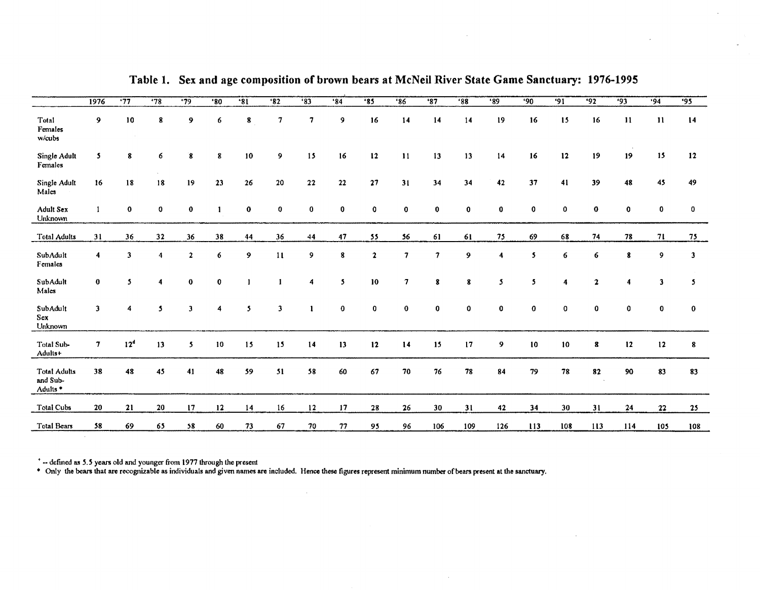|                                                        | 1976         | .77                     | '78        | $\overline{.79}$ | $^{\circ}80$ | $*31$        | 32            | $\overline{33}$ | .84      | .85                       | '86         | '87            | '88         | '89          | 90       | $\overline{91}$ | .92          | $\overline{93}$                                                       | .94           | $\overline{95}$ |
|--------------------------------------------------------|--------------|-------------------------|------------|------------------|--------------|--------------|---------------|-----------------|----------|---------------------------|-------------|----------------|-------------|--------------|----------|-----------------|--------------|-----------------------------------------------------------------------|---------------|-----------------|
| Total<br>Females<br>w/cubs                             | 9            | 10                      | 8          | 9                | 6            | 8            | 7             | $\tau$          | 9        | 16                        | 14          | 14             | 14          | 19           | 16       | 15              | 16           | $\mathbf{H}% _{t}\left( t\right) \equiv\mathbf{H}_{t}\left( t\right)$ | $\mathbf{11}$ | 14              |
| Single Adult<br>Females                                | 5.           | 8                       | 6          | 8                | 8            | 10           | 9             | 15              | 16       | $12 \,$                   | 11          | 13             | 13          | 14           | 16       | $\frac{12}{2}$  | 19           | 19                                                                    | 15            | 12              |
| Single Adult<br>Males                                  | 16           | 18                      | 18         | 19               | 23           | 26           | 20            | 22              | 22       | 27                        | 31          | 34             | 34          | 42           | 37       | 41              | 39           | 48                                                                    | 45            | 49              |
| Adult Sex<br>Unknown                                   |              | $\mathbf 0$             | $\bf o$    | $\bf{0}$         | -1           | $\bf{0}$     | $\bf{0}$      | $\bf{0}$        | 0        | 0                         | $\mathbf 0$ | $\bf{0}$       | $\mathbf 0$ | $\mathbf 0$  | 0        | 0               | $\bf{0}$     | 0                                                                     | $\bf{0}$      | 0               |
| <b>Total Adults</b>                                    | 31           | 36                      | 32         | 36               | 38           | 44           | 36            | 44              | 47       | 55                        | 56          | 61             | 61          | 75           | 69       | 68              | 74           | 78                                                                    | 71            | 75              |
| SubAdult<br>Females                                    | 4            | $\overline{\mathbf{3}}$ | $\ddot{4}$ | $\mathbf{2}$     | 6            | 9            | $\mathbf{11}$ | 9               | 8        | $\boldsymbol{\mathsf{2}}$ | 7           | $\overline{7}$ | 9           | 4            | 5.       | 6               | 6            | 8                                                                     | 9             | 3               |
| SubAdult<br>Males                                      | $\bf{0}$     | 5                       | 4          | $\bf{0}$         | $\mathbf 0$  |              |               | 4               | 5        | 10                        | 7           | 8              | 8           | 5            | 5        |                 | $\mathbf{z}$ |                                                                       | 3             | 5.              |
| SubAdult<br>Sex<br>Unknown                             | $\mathbf{3}$ | 4                       | 5          | $\overline{3}$   | 4            | $\mathbf{5}$ | 3             | $\mathbf{1}$    | $\bf{0}$ | $\bf{0}$                  | $\bf{0}$    | $\bf{0}$       | 0           | $\mathbf{0}$ | $\bf{0}$ | 0               | $\bf{0}$     | 0                                                                     | $\mathbf 0$   | $\bf{0}$        |
| Total Sub-<br>Adults+                                  | $\tau$       | 12 <sup>d</sup>         | 13         | 5                | 10           | 15           | 15            | 14              | 13       | 12                        | 14          | 15             | 17          | 9            | $10\,$   | 10              | 8            | 12                                                                    | $12 \,$       | 8               |
| <b>Total Adults</b><br>and Sub-<br>Adults <sup>*</sup> | 38           | 48                      | 45         | 41               | 48           | 59           | 51            | 58              | 60       | 67                        | 70          | 76             | ${\bf 78}$  | 84           | 79       | 78              | 82           | 90                                                                    | 83            | 83              |
| <b>Total Cubs</b>                                      | 20           | 21                      | 20         | 17               | 12           | 14           | 16            | 12              | 17       | ${\bf 28}$                | 26          | 30             | 31          | 42           | 34       | 30              | 31           | 24                                                                    | 22            | 25              |
| <b>Total Bears</b>                                     | 58           | 69                      | 65         | 58               | 60           | 73           | 67            | 70              | 77       | 95                        | 96          | 106            | 109         | 126          | 113      | 108             | 113          | 114                                                                   | 105           | 108             |

Table 1. Sex and age composition of brown bears at McNeil River State Game Sanctuary: 1976-1995

 $\sim$ 

 $\sim$ 

 $\sim 10^7$ 

<sup>•</sup> -- defined as 5.5 years old and younger from 1977 through the present

• Only the bears that are recognizable as individuals and given names are included. Hence these ligures represent minimum number ofbears present at the sanctuary.

 $\mathcal{A}$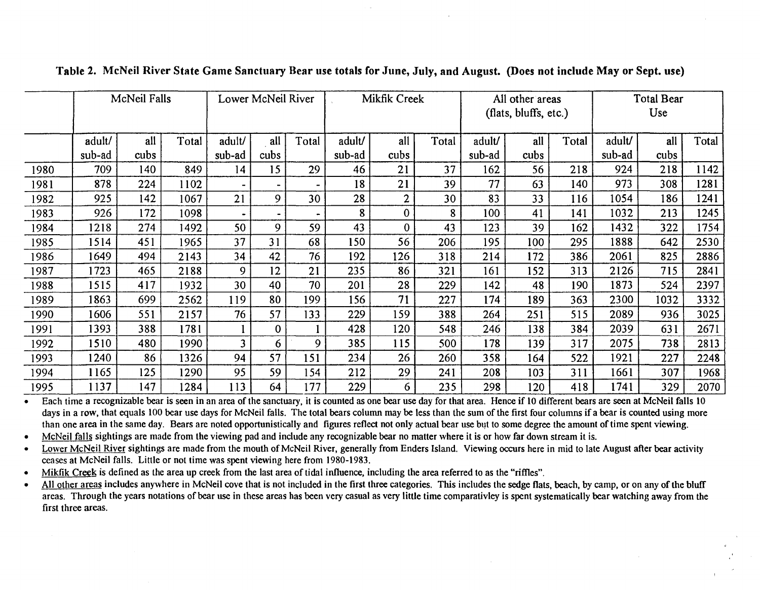|      | McNeil Falls |      |       | Lower McNeil River |              |                | Mikfik Creek |      |       | All other areas<br>(flats, bluffs, etc.) |      |       | <b>Total Bear</b><br>Use |      |       |
|------|--------------|------|-------|--------------------|--------------|----------------|--------------|------|-------|------------------------------------------|------|-------|--------------------------|------|-------|
|      | adult/       | all  | Total | adult/             | all          | Total          | adult/       | all  | Total | adult/                                   | all  | Total | adult/                   | all  | Total |
|      | sub-ad       | cubs |       | sub-ad             | cubs         |                | sub-ad       | cubs |       | sub-ad                                   | cubs |       | sub-ad                   | cubs |       |
| 1980 | 709          | 140  | 849   | 14                 | 15           | 29             | 46           | 21   | 37    | 162                                      | 56   | 218   | 924                      | 218  | 1142  |
| 1981 | 878          | 224  | 1102  |                    |              |                | 18           | 21   | 39    | 77                                       | 63   | 140   | 973                      | 308  | 1281  |
| 1982 | 925          | 142  | 1067  | 21                 | 9            | 30             | 28           | 2    | 30    | 83                                       | 33   | 116   | 1054                     | 186  | 1241  |
| 1983 | 926          | 172  | 1098  | $\bullet$          |              | $\blacksquare$ | 8            | 0    | 8     | 100                                      | 41   | 141   | 1032                     | 213  | 1245  |
| 1984 | 1218         | 274  | 1492  | 50                 | 9            | 59             | 43           | 0    | 43    | 123                                      | 39   | 162   | 1432                     | 322  | 1754  |
| 1985 | 1514         | 451  | 1965  | 37                 | 31           | 68             | 150          | 56   | 206   | 195                                      | 100  | 295   | 1888                     | 642  | 2530  |
| 1986 | 1649.        | 494  | 2143  | 34                 | 42           | 76             | 192          | 126  | 318   | 214                                      | 172  | 386   | 2061                     | 825  | 2886  |
| 1987 | 1723         | 465  | 2188  | 9                  | 12           | 21             | 235          | 86   | 321   | 161                                      | 152  | 313   | 2126                     | 715  | 2841  |
| 1988 | 1515         | 417  | 1932  | 30                 | 40           | 70             | 201          | 28   | 229   | 142                                      | 48   | 190   | 1873                     | 524  | 2397  |
| 1989 | 1863         | 699  | 2562  | 119                | 80           | 199            | 156          | 71   | 227   | 174                                      | 189  | 363   | 2300                     | 1032 | 3332  |
| 1990 | 1606         | 551  | 2157  | 76                 | 57           | 133            | 229          | 159  | 388   | 264                                      | 251  | 515   | 2089                     | 936  | 3025  |
| 1991 | 1393         | 388  | 1781  |                    | $\mathbf{0}$ |                | 428          | 120  | 548   | 246                                      | 138  | 384   | 2039                     | 631  | 2671  |
| 1992 | 1510         | 480  | 1990  | 3                  | 6            | 9              | 385          | 115  | 500   | 178                                      | 139  | 317   | 2075                     | 738  | 2813  |
| 1993 | 1240         | 86   | 1326  | 94                 | 57           | 151            | 234          | 26   | 260   | 358                                      | 164  | 522   | 1921                     | 227  | 2248  |
| 1994 | 1165         | 125  | 1290  | 95                 | 59           | 154            | 212          | 29   | 241   | 208                                      | 103  | 311   | 1661                     | 307  | 1968  |
| 1995 | 1137         | 147  | 1284  | 113                | 64           | 177            | 229          | 6    | 235   | 298                                      | 120  | 418   | 1741                     | 329  | 2070  |

## Table 2. McNeil River State Game Sanctuary Bear use totals for June, July, and August. (Does not include May or Sept. use)

Each time a recognizable bear is seen in an area of the sanctuary, it is counted as one bear use day for that area. Hence if 10 different bears are seen at McNeil falls 10 days in a row, that equals 100 bear use days for McNeil falls. The total bears column may be less than the sum of the first four columns if a bear is counted using more than one area in the same day. Bears are noted opportunistically and figures reflect not only actual bear use but to some degree the amount of time spent viewing.

• McNeil falls sightings are made from the viewing pad and include any recognizable bear no matter where it is or how far down stream it is.

• Lower McNeil River sightings are made from the mouth of McNeil River, generally from Enders Island. Viewing occurs here in mid to late August after bear activity ceases at McNeil falls. Little or not time was spent viewing here from 1980-1983.

Mikfik Creek is defined as the area up creek from the last area of tidal influence, including the area referred to as the "riffles".

• All other areas includes anywhere in McNeil cove that is not included in the first three categories. This includes the sedge flats, beach, by camp, or on any of the bluff areas. Through the years notations of bear use in these areas has been very casual as very little time comparativley is spent systematically bear watching away from the first three areas.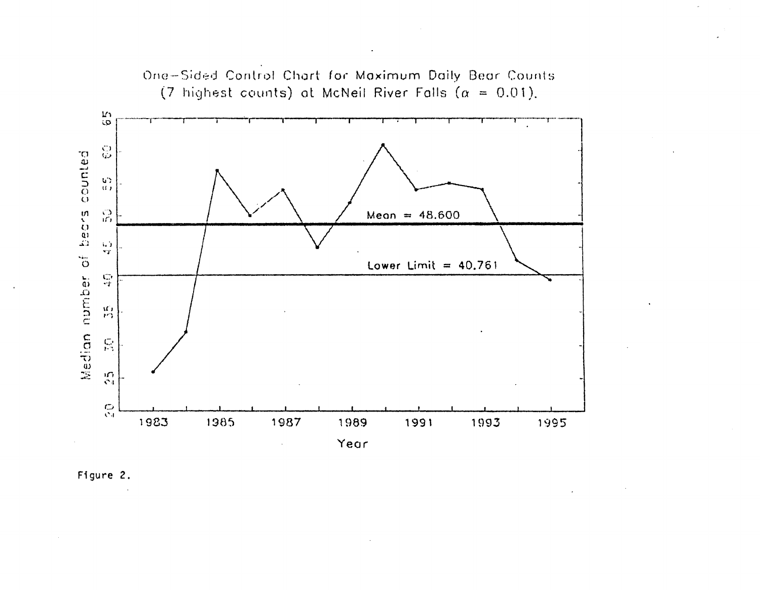

One-Sided Control Chart for Maximum Daily Bear Counts

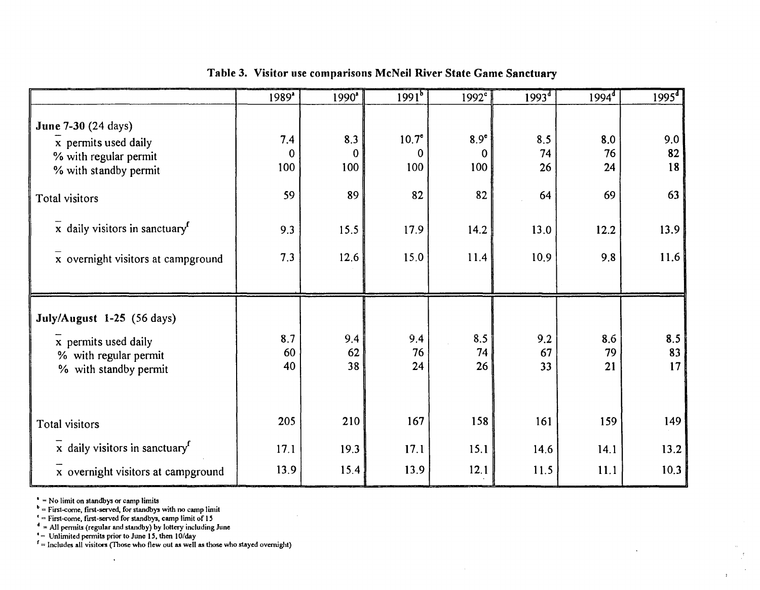|                                                                                                      | 1989*           | 1990 <sup>*</sup> | $1991^{5}$      | $1992^c$         | $1993^{d}$      | $1994^{\frac{1}{4}}$ | 1995 <sup>d</sup> |
|------------------------------------------------------------------------------------------------------|-----------------|-------------------|-----------------|------------------|-----------------|----------------------|-------------------|
| June 7-30 (24 days)                                                                                  | 7.4             | 8.3               | $10.7^\circ$    | 8.9 <sup>e</sup> | 8.5             | 8.0                  | 9.0               |
| x permits used daily<br>% with regular permit                                                        | $\mathbf 0$     | $\mathbf{0}$      | $\bf{0}$        | $\mathbf 0$      | 74              | 76                   | 82                |
| % with standby permit                                                                                | 100             | 100               | 100             | 100              | 26              | 24                   | 18                |
| Total visitors                                                                                       | 59              | 89                | 82              | 82               | 64              | 69                   | 63                |
| x daily visitors in sanctuary <sup>f</sup>                                                           | 9.3             | 15.5              | 17.9            | 14.2             | 13.0            | 12.2                 | 13.9              |
| x overnight visitors at campground                                                                   | 7.3             | 12.6              | 15.0            | 11.4             | 10.9            | 9.8                  | 11.6              |
| July/August 1-25 (56 days)<br>x permits used daily<br>% with regular permit<br>% with standby permit | 8.7<br>60<br>40 | 9.4<br>62<br>38   | 9.4<br>76<br>24 | 8.5<br>74<br>26  | 9.2<br>67<br>33 | 8.6<br>79<br>21      | 8.5<br>83<br>17   |
| Total visitors                                                                                       | 205             | 210               | 167             | 158              | 161             | 159                  | 149               |
| $x$ daily visitors in sanctuary <sup><math>f</math></sup>                                            | 17.1            | 19.3              | 17.1            | 15.1             | 14.6            | 14.1                 | 13.2              |
| x overnight visitors at campground                                                                   | 13.9            | 15.4              | 13.9            | 12.1             | 11.5            | 11.1                 | 10.3              |

# Table 3. Visitor use comparisons McNeil River State Game Sanctuary

 $<sup>a</sup>$  = No limit on standbys or camp limits</sup>

 $\mathbf{b}$  = First-come, first-served, for standbys with no camp limit

 $f =$  First-come, first-served for standbys, camp limit of 15

 $\sigma$  = All permits (regular and standby) by lottery including June  $\epsilon$  = Unlimited permits prior to June 15, then 10/day

 $\ddot{\phantom{1}}$ 

 $r =$  Includes all visitors (Those who flew out as well as those who stayed overnight)